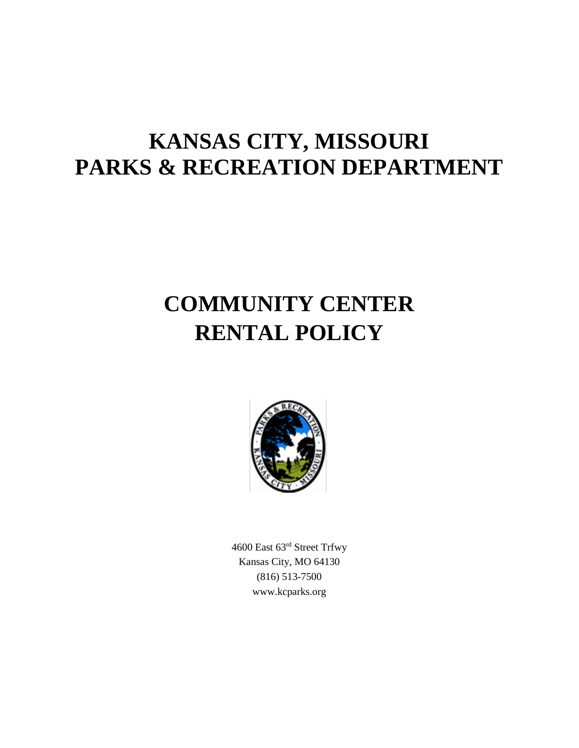# **KANSAS CITY, MISSOURI PARKS & RECREATION DEPARTMENT**

# **COMMUNITY CENTER RENTAL POLICY**



4600 East 63rd Street Trfwy Kansas City, MO 64130 (816) 513-7500 www.kcparks.org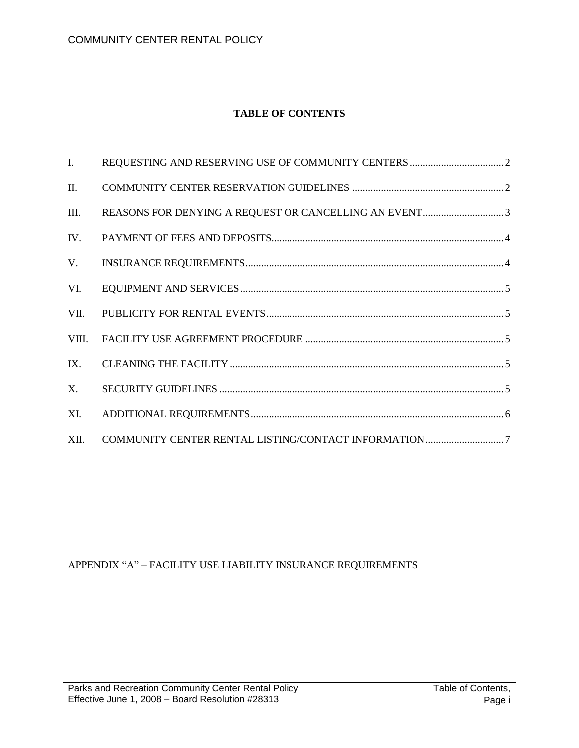# **TABLE OF CONTENTS**

| $\mathbf{I}$ . |  |
|----------------|--|
| II.            |  |
| III.           |  |
| IV.            |  |
| V.             |  |
| VI.            |  |
| VII.           |  |
| VIII.          |  |
| IX.            |  |
| X.             |  |
| XI.            |  |
| XII.           |  |

# APPENDIX "A" – FACILITY USE LIABILITY INSURANCE REQUIREMENTS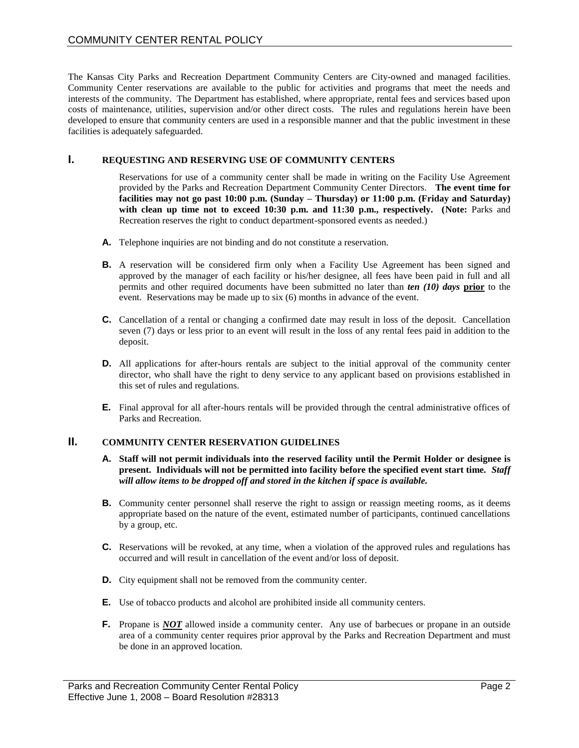The Kansas City Parks and Recreation Department Community Centers are City-owned and managed facilities. Community Center reservations are available to the public for activities and programs that meet the needs and interests of the community. The Department has established, where appropriate, rental fees and services based upon costs of maintenance, utilities, supervision and/or other direct costs. The rules and regulations herein have been developed to ensure that community centers are used in a responsible manner and that the public investment in these facilities is adequately safeguarded.

#### **I. REQUESTING AND RESERVING USE OF COMMUNITY CENTERS**

Reservations for use of a community center shall be made in writing on the Facility Use Agreement provided by the Parks and Recreation Department Community Center Directors. **The event time for facilities may not go past 10:00 p.m. (Sunday – Thursday) or 11:00 p.m. (Friday and Saturday)** with clean up time not to exceed 10:30 p.m. and 11:30 p.m., respectively. (Note: Parks and Recreation reserves the right to conduct department-sponsored events as needed.)

- **A.** Telephone inquiries are not binding and do not constitute a reservation.
- **B.** A reservation will be considered firm only when a Facility Use Agreement has been signed and approved by the manager of each facility or his/her designee, all fees have been paid in full and all permits and other required documents have been submitted no later than *ten (10) days* **prior** to the event. Reservations may be made up to six (6) months in advance of the event.
- **C.** Cancellation of a rental or changing a confirmed date may result in loss of the deposit. Cancellation seven (7) days or less prior to an event will result in the loss of any rental fees paid in addition to the deposit.
- **D.** All applications for after-hours rentals are subject to the initial approval of the community center director, who shall have the right to deny service to any applicant based on provisions established in this set of rules and regulations.
- **E.** Final approval for all after-hours rentals will be provided through the central administrative offices of Parks and Recreation.

## **II. COMMUNITY CENTER RESERVATION GUIDELINES**

- **A. Staff will not permit individuals into the reserved facility until the Permit Holder or designee is present. Individuals will not be permitted into facility before the specified event start time.** *Staff will allow items to be dropped off and stored in the kitchen if space is available.*
- **B.** Community center personnel shall reserve the right to assign or reassign meeting rooms, as it deems appropriate based on the nature of the event, estimated number of participants, continued cancellations by a group, etc.
- **C.** Reservations will be revoked, at any time, when a violation of the approved rules and regulations has occurred and will result in cancellation of the event and/or loss of deposit.
- **D.** City equipment shall not be removed from the community center.
- **E.** Use of tobacco products and alcohol are prohibited inside all community centers.
- **F.** Propane is *NOT* allowed inside a community center. Any use of barbecues or propane in an outside area of a community center requires prior approval by the Parks and Recreation Department and must be done in an approved location.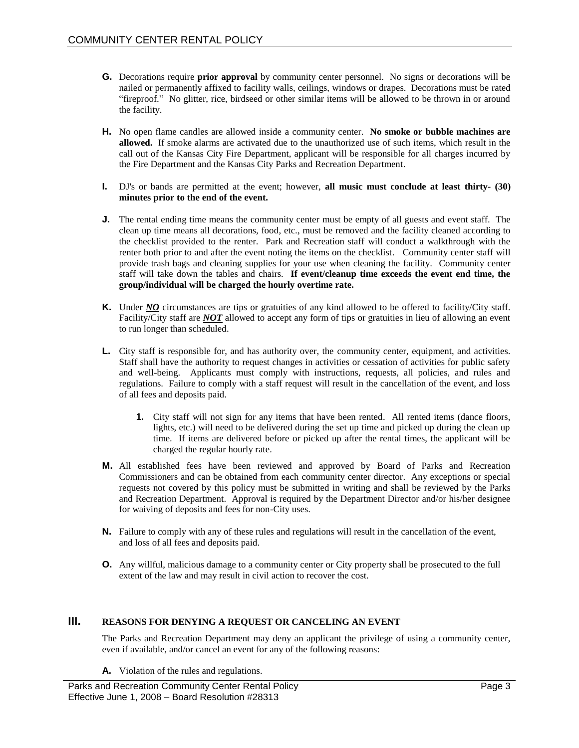- **G.** Decorations require **prior approval** by community center personnel. No signs or decorations will be nailed or permanently affixed to facility walls, ceilings, windows or drapes. Decorations must be rated "fireproof." No glitter, rice, birdseed or other similar items will be allowed to be thrown in or around the facility.
- **H.** No open flame candles are allowed inside a community center. **No smoke or bubble machines are allowed.** If smoke alarms are activated due to the unauthorized use of such items, which result in the call out of the Kansas City Fire Department, applicant will be responsible for all charges incurred by the Fire Department and the Kansas City Parks and Recreation Department.
- **I.** DJ's or bands are permitted at the event; however, **all music must conclude at least thirty- (30) minutes prior to the end of the event.**
- **J.** The rental ending time means the community center must be empty of all guests and event staff. The clean up time means all decorations, food, etc., must be removed and the facility cleaned according to the checklist provided to the renter. Park and Recreation staff will conduct a walkthrough with the renter both prior to and after the event noting the items on the checklist. Community center staff will provide trash bags and cleaning supplies for your use when cleaning the facility. Community center staff will take down the tables and chairs. **If event/cleanup time exceeds the event end time, the group/individual will be charged the hourly overtime rate.**
- **K.** Under *NO* circumstances are tips or gratuities of any kind allowed to be offered to facility/City staff. Facility/City staff are *NOT* allowed to accept any form of tips or gratuities in lieu of allowing an event to run longer than scheduled.
- **L.** City staff is responsible for, and has authority over, the community center, equipment, and activities. Staff shall have the authority to request changes in activities or cessation of activities for public safety and well-being. Applicants must comply with instructions, requests, all policies, and rules and regulations. Failure to comply with a staff request will result in the cancellation of the event, and loss of all fees and deposits paid.
	- **1.** City staff will not sign for any items that have been rented. All rented items (dance floors, lights, etc.) will need to be delivered during the set up time and picked up during the clean up time. If items are delivered before or picked up after the rental times, the applicant will be charged the regular hourly rate.
- **M.** All established fees have been reviewed and approved by Board of Parks and Recreation Commissioners and can be obtained from each community center director. Any exceptions or special requests not covered by this policy must be submitted in writing and shall be reviewed by the Parks and Recreation Department. Approval is required by the Department Director and/or his/her designee for waiving of deposits and fees for non-City uses.
- **N.** Failure to comply with any of these rules and regulations will result in the cancellation of the event, and loss of all fees and deposits paid.
- **O.** Any willful, malicious damage to a community center or City property shall be prosecuted to the full extent of the law and may result in civil action to recover the cost.

#### **III. REASONS FOR DENYING A REQUEST OR CANCELING AN EVENT**

The Parks and Recreation Department may deny an applicant the privilege of using a community center, even if available, and/or cancel an event for any of the following reasons:

**A.** Violation of the rules and regulations.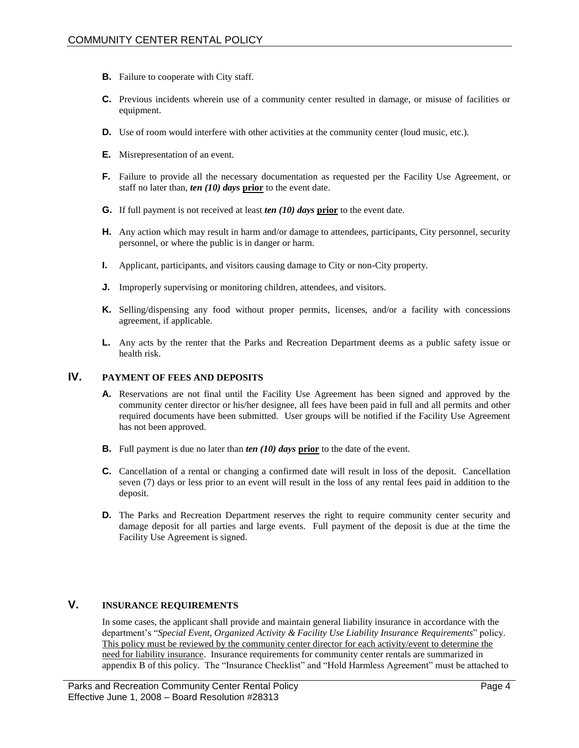- **B.** Failure to cooperate with City staff.
- **C.** Previous incidents wherein use of a community center resulted in damage, or misuse of facilities or equipment.
- **D.** Use of room would interfere with other activities at the community center (loud music, etc.).
- **E.** Misrepresentation of an event.
- **F.** Failure to provide all the necessary documentation as requested per the Facility Use Agreement, or staff no later than, *ten (10) days* **prior** to the event date.
- **G.** If full payment is not received at least *ten (10) days* **prior** to the event date.
- **H.** Any action which may result in harm and/or damage to attendees, participants, City personnel, security personnel, or where the public is in danger or harm.
- **I.** Applicant, participants, and visitors causing damage to City or non-City property.
- **J.** Improperly supervising or monitoring children, attendees, and visitors.
- **K.** Selling/dispensing any food without proper permits, licenses, and/or a facility with concessions agreement, if applicable.
- **L.** Any acts by the renter that the Parks and Recreation Department deems as a public safety issue or health risk.

### **IV. PAYMENT OF FEES AND DEPOSITS**

- **A.** Reservations are not final until the Facility Use Agreement has been signed and approved by the community center director or his/her designee, all fees have been paid in full and all permits and other required documents have been submitted. User groups will be notified if the Facility Use Agreement has not been approved.
- **B.** Full payment is due no later than *ten (10) days* **prior** to the date of the event.
- **C.** Cancellation of a rental or changing a confirmed date will result in loss of the deposit. Cancellation seven (7) days or less prior to an event will result in the loss of any rental fees paid in addition to the deposit.
- **D.** The Parks and Recreation Department reserves the right to require community center security and damage deposit for all parties and large events. Full payment of the deposit is due at the time the Facility Use Agreement is signed.

# **V. INSURANCE REQUIREMENTS**

In some cases, the applicant shall provide and maintain general liability insurance in accordance with the department's "*Special Event, Organized Activity & Facility Use Liability Insurance Requirements*" policy. This policy must be reviewed by the community center director for each activity/event to determine the need for liability insurance. Insurance requirements for community center rentals are summarized in appendix B of this policy. The "Insurance Checklist" and "Hold Harmless Agreement" must be attached to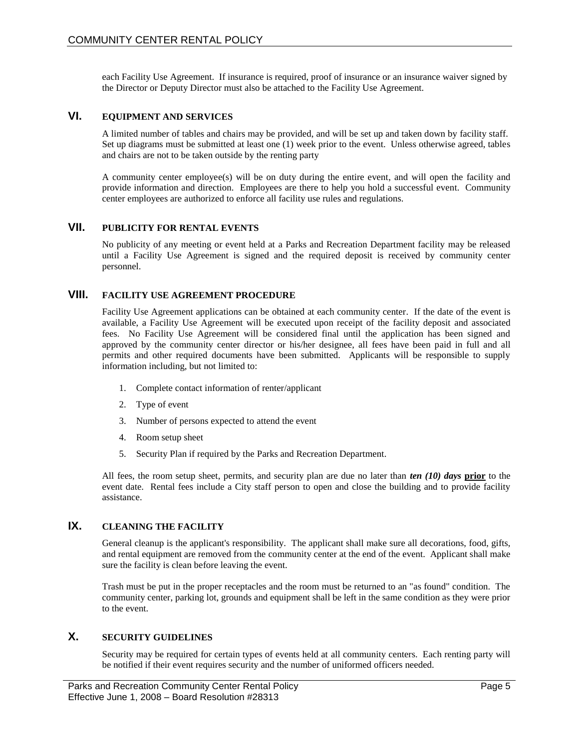each Facility Use Agreement. If insurance is required, proof of insurance or an insurance waiver signed by the Director or Deputy Director must also be attached to the Facility Use Agreement.

## **VI. EQUIPMENT AND SERVICES**

A limited number of tables and chairs may be provided, and will be set up and taken down by facility staff. Set up diagrams must be submitted at least one (1) week prior to the event. Unless otherwise agreed, tables and chairs are not to be taken outside by the renting party

A community center employee(s) will be on duty during the entire event, and will open the facility and provide information and direction. Employees are there to help you hold a successful event. Community center employees are authorized to enforce all facility use rules and regulations.

#### **VII. PUBLICITY FOR RENTAL EVENTS**

No publicity of any meeting or event held at a Parks and Recreation Department facility may be released until a Facility Use Agreement is signed and the required deposit is received by community center personnel.

#### **VIII. FACILITY USE AGREEMENT PROCEDURE**

Facility Use Agreement applications can be obtained at each community center. If the date of the event is available, a Facility Use Agreement will be executed upon receipt of the facility deposit and associated fees. No Facility Use Agreement will be considered final until the application has been signed and approved by the community center director or his/her designee, all fees have been paid in full and all permits and other required documents have been submitted. Applicants will be responsible to supply information including, but not limited to:

- 1. Complete contact information of renter/applicant
- 2. Type of event
- 3. Number of persons expected to attend the event
- 4. Room setup sheet
- 5. Security Plan if required by the Parks and Recreation Department.

All fees, the room setup sheet, permits, and security plan are due no later than *ten (10) days* **prior** to the event date. Rental fees include a City staff person to open and close the building and to provide facility assistance.

# **IX. CLEANING THE FACILITY**

General cleanup is the applicant's responsibility. The applicant shall make sure all decorations, food, gifts, and rental equipment are removed from the community center at the end of the event. Applicant shall make sure the facility is clean before leaving the event.

Trash must be put in the proper receptacles and the room must be returned to an "as found" condition. The community center, parking lot, grounds and equipment shall be left in the same condition as they were prior to the event.

# **X. SECURITY GUIDELINES**

Security may be required for certain types of events held at all community centers. Each renting party will be notified if their event requires security and the number of uniformed officers needed.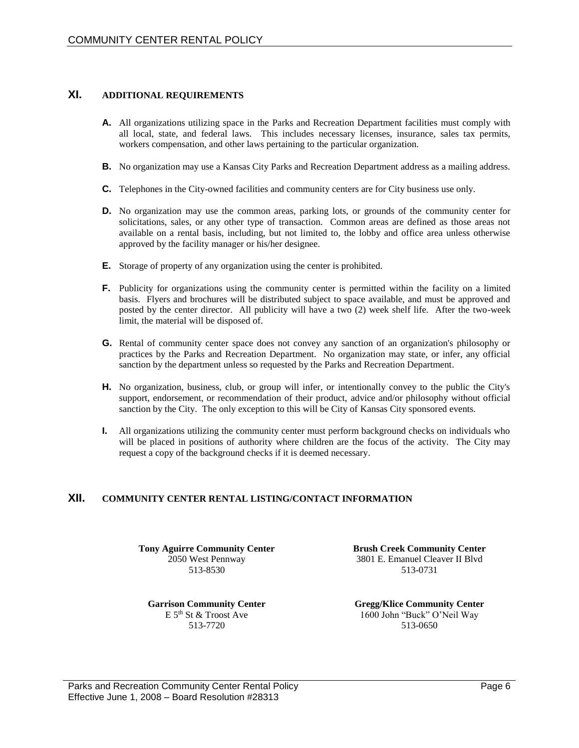# **XI. ADDITIONAL REQUIREMENTS**

- **A.** All organizations utilizing space in the Parks and Recreation Department facilities must comply with all local, state, and federal laws. This includes necessary licenses, insurance, sales tax permits, workers compensation, and other laws pertaining to the particular organization.
- **B.** No organization may use a Kansas City Parks and Recreation Department address as a mailing address.
- **C.** Telephones in the City-owned facilities and community centers are for City business use only.
- **D.** No organization may use the common areas, parking lots, or grounds of the community center for solicitations, sales, or any other type of transaction. Common areas are defined as those areas not available on a rental basis, including, but not limited to, the lobby and office area unless otherwise approved by the facility manager or his/her designee.
- **E.** Storage of property of any organization using the center is prohibited.
- **F.** Publicity for organizations using the community center is permitted within the facility on a limited basis. Flyers and brochures will be distributed subject to space available, and must be approved and posted by the center director. All publicity will have a two (2) week shelf life. After the two-week limit, the material will be disposed of.
- **G.** Rental of community center space does not convey any sanction of an organization's philosophy or practices by the Parks and Recreation Department. No organization may state, or infer, any official sanction by the department unless so requested by the Parks and Recreation Department.
- **H.** No organization, business, club, or group will infer, or intentionally convey to the public the City's support, endorsement, or recommendation of their product, advice and/or philosophy without official sanction by the City. The only exception to this will be City of Kansas City sponsored events.
- **I.** All organizations utilizing the community center must perform background checks on individuals who will be placed in positions of authority where children are the focus of the activity. The City may request a copy of the background checks if it is deemed necessary.

# **XII. COMMUNITY CENTER RENTAL LISTING/CONTACT INFORMATION**

**Tony Aguirre Community Center** 2050 West Pennway 513-8530

**Garrison Community Center**  $E$  5<sup>th</sup> St & Troost Ave 513-7720

**Brush Creek Community Center** 3801 E. Emanuel Cleaver II Blvd 513-0731

**Gregg/Klice Community Center** 1600 John "Buck" O'Neil Way 513-0650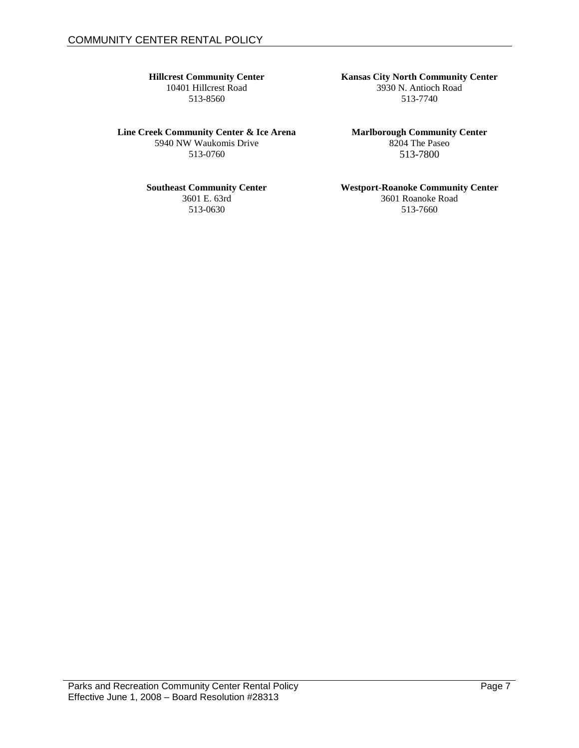## **Hillcrest Community Center**

10401 Hillcrest Road 513-8560

**Line Creek Community Center & Ice Arena** 5940 NW Waukomis Drive 513-0760

#### **Southeast Community Center**

3601 E. 63rd 513-0630

**Marlborough Community Center** 8204 The Paseo 513-7800

# **Westport-Roanoke Community Center**

3601 Roanoke Road 513-7660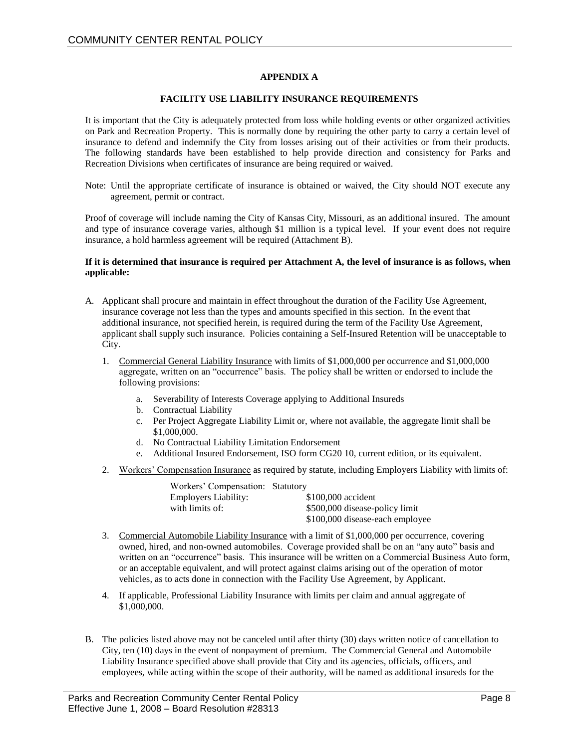#### **APPENDIX A**

#### **FACILITY USE LIABILITY INSURANCE REQUIREMENTS**

It is important that the City is adequately protected from loss while holding events or other organized activities on Park and Recreation Property. This is normally done by requiring the other party to carry a certain level of insurance to defend and indemnify the City from losses arising out of their activities or from their products. The following standards have been established to help provide direction and consistency for Parks and Recreation Divisions when certificates of insurance are being required or waived.

Note: Until the appropriate certificate of insurance is obtained or waived, the City should NOT execute any agreement, permit or contract.

Proof of coverage will include naming the City of Kansas City, Missouri, as an additional insured. The amount and type of insurance coverage varies, although \$1 million is a typical level. If your event does not require insurance, a hold harmless agreement will be required (Attachment B).

#### **If it is determined that insurance is required per Attachment A, the level of insurance is as follows, when applicable:**

- A. Applicant shall procure and maintain in effect throughout the duration of the Facility Use Agreement, insurance coverage not less than the types and amounts specified in this section. In the event that additional insurance, not specified herein, is required during the term of the Facility Use Agreement, applicant shall supply such insurance. Policies containing a Self-Insured Retention will be unacceptable to City.
	- 1. Commercial General Liability Insurance with limits of \$1,000,000 per occurrence and \$1,000,000 aggregate, written on an "occurrence" basis. The policy shall be written or endorsed to include the following provisions:
		- a. Severability of Interests Coverage applying to Additional Insureds
		- b. Contractual Liability
		- c. Per Project Aggregate Liability Limit or, where not available, the aggregate limit shall be \$1,000,000.
		- d. No Contractual Liability Limitation Endorsement
		- e. Additional Insured Endorsement, ISO form CG20 10, current edition, or its equivalent.
	- 2. Workers' Compensation Insurance as required by statute, including Employers Liability with limits of:

| Workers' Compensation: Statutory |                                 |
|----------------------------------|---------------------------------|
| Employers Liability:             | \$100,000 accident              |
| with limits of:                  | \$500,000 disease-policy limit  |
|                                  | \$100,000 disease-each employee |

- 3. Commercial Automobile Liability Insurance with a limit of \$1,000,000 per occurrence, covering owned, hired, and non-owned automobiles. Coverage provided shall be on an "any auto" basis and written on an "occurrence" basis. This insurance will be written on a Commercial Business Auto form, or an acceptable equivalent, and will protect against claims arising out of the operation of motor vehicles, as to acts done in connection with the Facility Use Agreement, by Applicant.
- 4. If applicable, Professional Liability Insurance with limits per claim and annual aggregate of \$1,000,000.
- B. The policies listed above may not be canceled until after thirty (30) days written notice of cancellation to City, ten (10) days in the event of nonpayment of premium. The Commercial General and Automobile Liability Insurance specified above shall provide that City and its agencies, officials, officers, and employees, while acting within the scope of their authority, will be named as additional insureds for the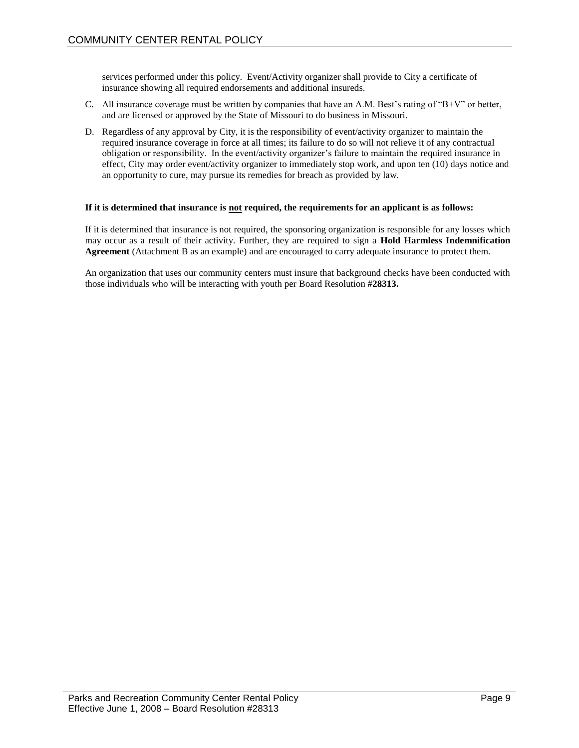services performed under this policy. Event/Activity organizer shall provide to City a certificate of insurance showing all required endorsements and additional insureds.

- C. All insurance coverage must be written by companies that have an A.M. Best's rating of "B+V" or better, and are licensed or approved by the State of Missouri to do business in Missouri.
- D. Regardless of any approval by City, it is the responsibility of event/activity organizer to maintain the required insurance coverage in force at all times; its failure to do so will not relieve it of any contractual obligation or responsibility. In the event/activity organizer's failure to maintain the required insurance in effect, City may order event/activity organizer to immediately stop work, and upon ten (10) days notice and an opportunity to cure, may pursue its remedies for breach as provided by law.

#### **If it is determined that insurance is not required, the requirements for an applicant is as follows:**

If it is determined that insurance is not required, the sponsoring organization is responsible for any losses which may occur as a result of their activity. Further, they are required to sign a **Hold Harmless Indemnification Agreement** (Attachment B as an example) and are encouraged to carry adequate insurance to protect them.

An organization that uses our community centers must insure that background checks have been conducted with those individuals who will be interacting with youth per Board Resolution #**28313.**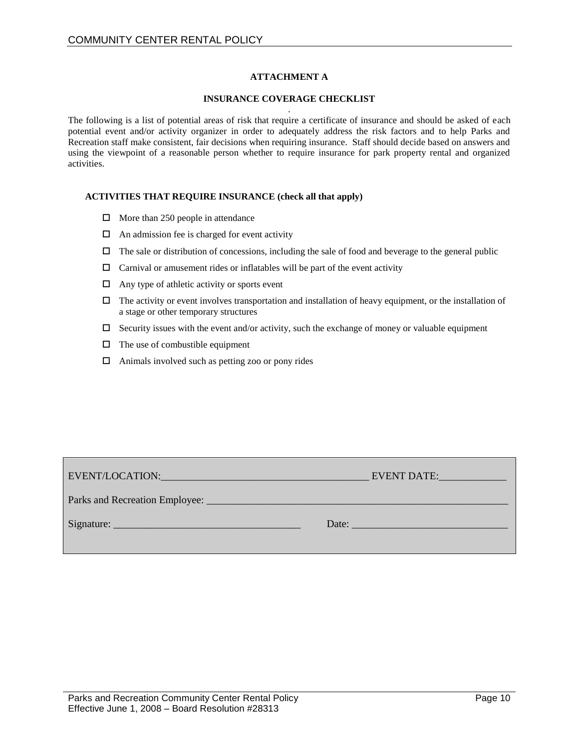#### **ATTACHMENT A**

#### **INSURANCE COVERAGE CHECKLIST**

. The following is a list of potential areas of risk that require a certificate of insurance and should be asked of each potential event and/or activity organizer in order to adequately address the risk factors and to help Parks and Recreation staff make consistent, fair decisions when requiring insurance. Staff should decide based on answers and using the viewpoint of a reasonable person whether to require insurance for park property rental and organized activities.

#### **ACTIVITIES THAT REQUIRE INSURANCE (check all that apply)**

- $\Box$  More than 250 people in attendance
- $\Box$  An admission fee is charged for event activity
- $\Box$  The sale or distribution of concessions, including the sale of food and beverage to the general public
- $\Box$  Carnival or amusement rides or inflatables will be part of the event activity
- $\Box$  Any type of athletic activity or sports event
- $\Box$  The activity or event involves transportation and installation of heavy equipment, or the installation of a stage or other temporary structures
- $\Box$  Security issues with the event and/or activity, such the exchange of money or valuable equipment
- $\Box$  The use of combustible equipment
- $\Box$  Animals involved such as petting zoo or pony rides

| EVENT DATE:                                                                                                                                                                                                                    |
|--------------------------------------------------------------------------------------------------------------------------------------------------------------------------------------------------------------------------------|
|                                                                                                                                                                                                                                |
| Date: the contract of the contract of the contract of the contract of the contract of the contract of the contract of the contract of the contract of the contract of the contract of the contract of the contract of the cont |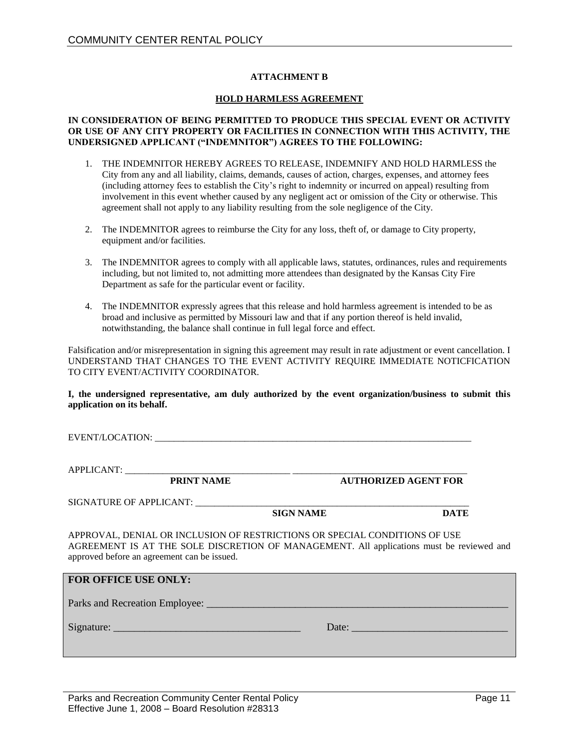#### **ATTACHMENT B**

#### **HOLD HARMLESS AGREEMENT**

#### **IN CONSIDERATION OF BEING PERMITTED TO PRODUCE THIS SPECIAL EVENT OR ACTIVITY OR USE OF ANY CITY PROPERTY OR FACILITIES IN CONNECTION WITH THIS ACTIVITY, THE UNDERSIGNED APPLICANT ("INDEMNITOR") AGREES TO THE FOLLOWING:**

- 1. THE INDEMNITOR HEREBY AGREES TO RELEASE, INDEMNIFY AND HOLD HARMLESS the City from any and all liability, claims, demands, causes of action, charges, expenses, and attorney fees (including attorney fees to establish the City's right to indemnity or incurred on appeal) resulting from involvement in this event whether caused by any negligent act or omission of the City or otherwise. This agreement shall not apply to any liability resulting from the sole negligence of the City.
- 2. The INDEMNITOR agrees to reimburse the City for any loss, theft of, or damage to City property, equipment and/or facilities.
- 3. The INDEMNITOR agrees to comply with all applicable laws, statutes, ordinances, rules and requirements including, but not limited to, not admitting more attendees than designated by the Kansas City Fire Department as safe for the particular event or facility.
- 4. The INDEMNITOR expressly agrees that this release and hold harmless agreement is intended to be as broad and inclusive as permitted by Missouri law and that if any portion thereof is held invalid, notwithstanding, the balance shall continue in full legal force and effect.

Falsification and/or misrepresentation in signing this agreement may result in rate adjustment or event cancellation. I UNDERSTAND THAT CHANGES TO THE EVENT ACTIVITY REQUIRE IMMEDIATE NOTICFICATION TO CITY EVENT/ACTIVITY COORDINATOR.

**I, the undersigned representative, am duly authorized by the event organization/business to submit this application on its behalf.** 

EVENT/LOCATION: \_\_\_\_\_\_\_\_\_\_\_\_\_\_\_\_\_\_\_\_\_\_\_\_\_\_\_\_\_\_\_\_\_\_\_\_\_\_\_\_\_\_\_\_\_\_\_\_\_\_\_\_\_\_\_\_\_\_\_\_\_\_\_\_\_\_\_

APPLICANT: \_\_\_\_\_\_\_\_\_\_\_\_\_\_\_\_\_\_\_\_\_\_\_\_\_\_\_\_\_\_\_\_\_\_\_ \_\_\_\_\_\_\_\_\_\_\_\_\_\_\_\_\_\_\_\_\_\_\_\_\_\_\_\_\_\_\_\_\_\_\_\_\_

**PRINT NAME AUTHORIZED AGENT FOR**

SIGNATURE OF APPLICANT: \_\_\_\_\_\_\_\_\_\_\_\_\_\_\_\_\_\_\_\_\_\_\_\_\_\_\_\_\_\_\_\_\_\_\_\_\_\_\_\_\_\_\_\_\_\_\_\_\_\_\_\_\_\_\_\_\_\_

**SIGN NAME** DATE

APPROVAL, DENIAL OR INCLUSION OF RESTRICTIONS OR SPECIAL CONDITIONS OF USE AGREEMENT IS AT THE SOLE DISCRETION OF MANAGEMENT. All applications must be reviewed and approved before an agreement can be issued.

#### **FOR OFFICE USE ONLY:**

Parks and Recreation Employee: \_\_\_\_\_\_\_\_\_\_\_\_\_\_\_\_\_\_\_\_\_\_\_\_\_\_\_\_\_\_\_\_\_\_\_\_\_\_\_\_\_\_\_\_\_\_\_\_\_\_\_\_\_\_\_\_\_\_

Signature: \_\_\_\_\_\_\_\_\_\_\_\_\_\_\_\_\_\_\_\_\_\_\_\_\_\_\_\_\_\_\_\_\_\_\_\_ Date: \_\_\_\_\_\_\_\_\_\_\_\_\_\_\_\_\_\_\_\_\_\_\_\_\_\_\_\_\_\_